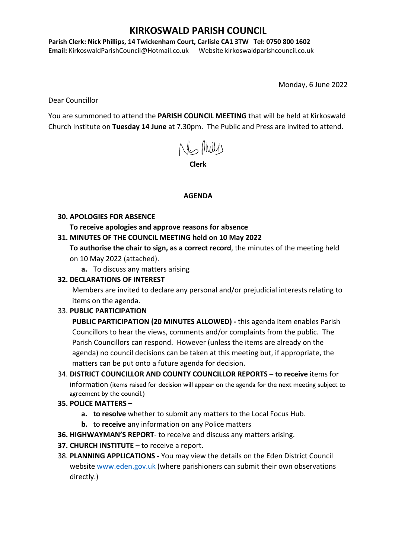## **KIRKOSWALD PARISH COUNCIL**

**Parish Clerk: Nick Phillips, 14 Twickenham Court, Carlisle CA1 3TW Tel: 0750 800 1602** 

**Email:** KirkoswaldParishCouncil@Hotmail.co.uk Website kirkoswaldparishcouncil.co.uk

Monday, 6 June 2022

Dear Councillor

You are summoned to attend the **PARISH COUNCIL MEETING** that will be held at Kirkoswald Church Institute on **Tuesday 14 June** at 7.30pm. The Public and Press are invited to attend.

No Mults

**Clerk**

#### **AGENDA**

#### **30. APOLOGIES FOR ABSENCE**

**To receive apologies and approve reasons for absence**

### **31. MINUTES OF THE COUNCIL MEETING held on 10 May 2022**

**To authorise the chair to sign, as a correct record**, the minutes of the meeting held on 10 May 2022 (attached).

**a.** To discuss any matters arising

### **32. DECLARATIONS OF INTEREST**

Members are invited to declare any personal and/or prejudicial interests relating to items on the agenda.

### 33. **PUBLIC PARTICIPATION**

**PUBLIC PARTICIPATION (20 MINUTES ALLOWED) -** this agenda item enables Parish Councillors to hear the views, comments and/or complaints from the public. The Parish Councillors can respond. However (unless the items are already on the agenda) no council decisions can be taken at this meeting but, if appropriate, the matters can be put onto a future agenda for decision.

34. **DISTRICT COUNCILLOR AND COUNTY COUNCILLOR REPORTS – to receive** items for information (items raised for decision will appear on the agenda for the next meeting subject to agreement by the council.)

### **35. POLICE MATTERS –**

- **a. to resolve** whether to submit any matters to the Local Focus Hub.
- **b.** to **receive** any information on any Police matters
- **36. HIGHWAYMAN'S REPORT** to receive and discuss any matters arising.
- **37. CHURCH INSTITUTE** to receive a report.
- 38. **PLANNING APPLICATIONS -** You may view the details on the Eden District Council website www.eden.gov.uk (where parishioners can submit their own observations directly.)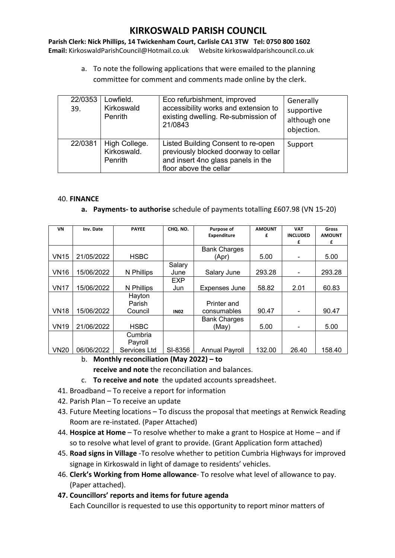# **KIRKOSWALD PARISH COUNCIL**

**Parish Clerk: Nick Phillips, 14 Twickenham Court, Carlisle CA1 3TW Tel: 0750 800 1602 Email:** KirkoswaldParishCouncil@Hotmail.co.uk Website kirkoswaldparishcouncil.co.uk

> a. To note the following applications that were emailed to the planning committee for comment and comments made online by the clerk.

| 22/0353<br>39. | Lowfield.<br>Kirkoswald<br>Penrith      | Eco refurbishment, improved<br>accessibility works and extension to<br>existing dwelling. Re-submission of<br>21/0843                      | Generally<br>supportive<br>although one<br>objection. |
|----------------|-----------------------------------------|--------------------------------------------------------------------------------------------------------------------------------------------|-------------------------------------------------------|
| 22/0381        | High College.<br>Kirkoswald.<br>Penrith | Listed Building Consent to re-open<br>previously blocked doorway to cellar<br>and insert 4no glass panels in the<br>floor above the cellar | Support                                               |

#### 40. **FINANCE**

#### **a. Payments- to authorise** schedule of payments totalling £607.98 (VN 15-20)

| VN          | Inv. Date  | <b>PAYEE</b> | CHQ. NO.    | Purpose of            | <b>AMOUNT</b> | <b>VAT</b>                   | Gross         |
|-------------|------------|--------------|-------------|-----------------------|---------------|------------------------------|---------------|
|             |            |              |             |                       |               |                              |               |
|             |            |              |             | <b>Expenditure</b>    | £             | <b>INCLUDED</b>              | <b>AMOUNT</b> |
|             |            |              |             |                       |               | £                            | £             |
|             |            |              |             | <b>Bank Charges</b>   |               |                              |               |
| <b>VN15</b> | 21/05/2022 | <b>HSBC</b>  |             | (Apr)                 | 5.00          |                              | 5.00          |
|             |            |              | Salary      |                       |               |                              |               |
| <b>VN16</b> | 15/06/2022 | N Phillips   | June        | Salary June           | 293.28        | ۰                            | 293.28        |
|             |            |              | <b>EXP</b>  |                       |               |                              |               |
| <b>VN17</b> | 15/06/2022 | N Phillips   | Jun         | <b>Expenses June</b>  | 58.82         | 2.01                         | 60.83         |
|             |            | Hayton       |             |                       |               |                              |               |
|             |            | Parish       |             | Printer and           |               |                              |               |
| <b>VN18</b> | 15/06/2022 | Council      | <b>IN02</b> | consumables           | 90.47         | ۰                            | 90.47         |
|             |            |              |             | <b>Bank Charges</b>   |               |                              |               |
| <b>VN19</b> | 21/06/2022 | <b>HSBC</b>  |             | (May)                 | 5.00          | $\qquad \qquad \blacksquare$ | 5.00          |
|             |            | Cumbria      |             |                       |               |                              |               |
|             |            | Payroll      |             |                       |               |                              |               |
| <b>VN20</b> | 06/06/2022 | Services Ltd | SI-8356     | <b>Annual Payroll</b> | 132.00        | 26.40                        | 158.40        |

- b. **Monthly reconciliation (May 2022) – to** 
	- **receive and note** the reconciliation and balances.
- c. **To receive and note** the updated accounts spreadsheet.
- 41. Broadband To receive a report for information
- 42. Parish Plan To receive an update
- 43. Future Meeting locations To discuss the proposal that meetings at Renwick Reading Room are re-instated. (Paper Attached)
- 44. **Hospice at Home** To resolve whether to make a grant to Hospice at Home and if so to resolve what level of grant to provide. (Grant Application form attached)
- 45. **Road signs in Village** -To resolve whether to petition Cumbria Highways for improved signage in Kirkoswald in light of damage to residents' vehicles.
- 46. **Clerk's Working from Home allowance** To resolve what level of allowance to pay. (Paper attached).
- **47. Councillors' reports and items for future agenda** Each Councillor is requested to use this opportunity to report minor matters of